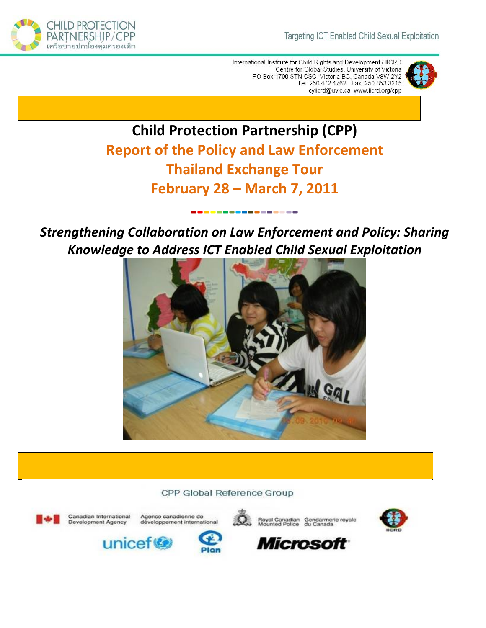

International Institute for Child Rights and Development / IICRD Centre for Global Studies, University of Victoria PO Box 1700 STN CSC Victoria BC, Canada V8W 2Y2<br>Tel: 250.472.4762 Fax: 250.853.3215 cylicrd@uvic.ca www.iicrd.org/cpp



# **Child Protection Partnership (CPP) Report of the Policy and Law Enforcement Thailand Exchange Tour February 28 – March 7, 2011**

*Strengthening Collaboration on Law Enforcement and Policy: Sharing Knowledge to Address ICT Enabled Child Sexual Exploitation* 

••••••••••••••••



CPP Global Reference Group



Canadian International Development Agency

unicef









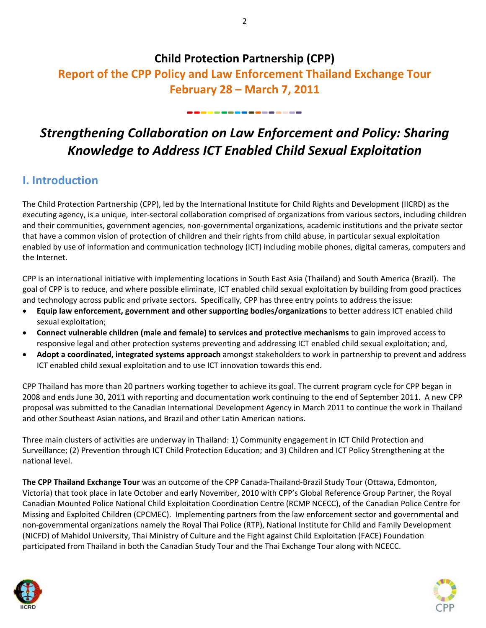## **Child Protection Partnership (CPP)**

## **Report of the CPP Policy and Law Enforcement Thailand Exchange Tour February 28 – March 7, 2011**

# *Strengthening Collaboration on Law Enforcement and Policy: Sharing Knowledge to Address ICT Enabled Child Sexual Exploitation*

•••••••••••••••

## **I. Introduction**

The Child Protection Partnership (CPP), led by the International Institute for Child Rights and Development (IICRD) as the executing agency, is a unique, inter‐sectoral collaboration comprised of organizations from various sectors, including children and their communities, government agencies, non-governmental organizations, academic institutions and the private sector that have a common vision of protection of children and their rights from child abuse, in particular sexual exploitation enabled by use of information and communication technology (ICT) including mobile phones, digital cameras, computers and the Internet.

CPP is an international initiative with implementing locations in South East Asia (Thailand) and South America (Brazil). The goal of CPP is to reduce, and where possible eliminate, ICT enabled child sexual exploitation by building from good practices and technology across public and private sectors. Specifically, CPP has three entry points to address the issue:

- **Equip law enforcement, government and other supporting bodies/organizations** to better address ICT enabled child sexual exploitation;
- **Connect vulnerable children (male and female) to services and protective mechanisms** to gain improved access to responsive legal and other protection systems preventing and addressing ICT enabled child sexual exploitation; and,
- **Adopt a coordinated, integrated systems approach** amongst stakeholders to work in partnership to prevent and address ICT enabled child sexual exploitation and to use ICT innovation towards this end.

CPP Thailand has more than 20 partners working together to achieve its goal. The current program cycle for CPP began in 2008 and ends June 30, 2011 with reporting and documentation work continuing to the end of September 2011. A new CPP proposal was submitted to the Canadian International Development Agency in March 2011 to continue the work in Thailand and other Southeast Asian nations, and Brazil and other Latin American nations.

Three main clusters of activities are underway in Thailand: 1) Community engagement in ICT Child Protection and Surveillance; (2) Prevention through ICT Child Protection Education; and 3) Children and ICT Policy Strengthening at the national level.

**The CPP Thailand Exchange Tour** was an outcome of the CPP Canada‐Thailand‐Brazil Study Tour (Ottawa, Edmonton, Victoria) that took place in late October and early November, 2010 with CPP's Global Reference Group Partner, the Royal Canadian Mounted Police National Child Exploitation Coordination Centre (RCMP NCECC), of the Canadian Police Centre for Missing and Exploited Children (CPCMEC). Implementing partners from the law enforcement sector and governmental and non‐governmental organizations namely the Royal Thai Police (RTP), National Institute for Child and Family Development (NICFD) of Mahidol University, Thai Ministry of Culture and the Fight against Child Exploitation (FACE) Foundation participated from Thailand in both the Canadian Study Tour and the Thai Exchange Tour along with NCECC.



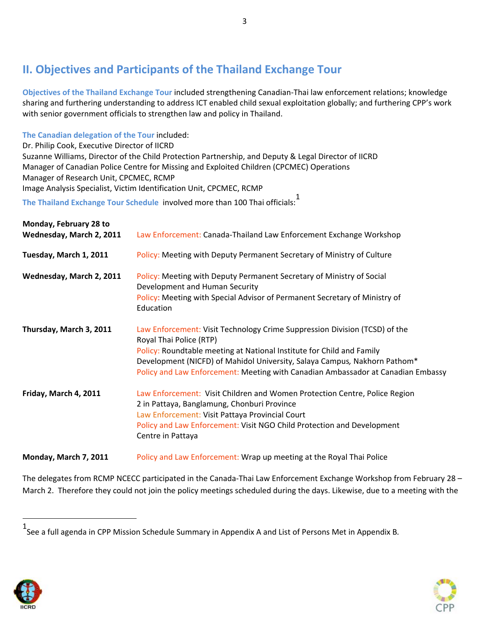## **II. Objectives and Participants of the Thailand Exchange Tour**

**Objectives of the Thailand Exchange Tour** included strengthening Canadian‐Thai law enforcement relations; knowledge sharing and furthering understanding to address ICT enabled child sexual exploitation globally; and furthering CPP's work with senior government officials to strengthen law and policy in Thailand.

**The Canadian delegation of the Tour** included:

Dr. Philip Cook, Executive Director of IICRD

Suzanne Williams, Director of the Child Protection Partnership, and Deputy & Legal Director of IICRD Manager of Canadian Police Centre for Missing and Exploited Children (CPCMEC) Operations Manager of Research Unit, CPCMEC, RCMP Image Analysis Specialist, Victim Identification Unit, CPCMEC, RCMP

**The Thailand Exchange Tour Schedule** involved more than 100 Thai officials:<sup>1</sup>

| Monday, February 28 to<br>Wednesday, March 2, 2011 | Law Enforcement: Canada-Thailand Law Enforcement Exchange Workshop                                                                                                                                                                                                                                                                              |
|----------------------------------------------------|-------------------------------------------------------------------------------------------------------------------------------------------------------------------------------------------------------------------------------------------------------------------------------------------------------------------------------------------------|
| Tuesday, March 1, 2011                             | Policy: Meeting with Deputy Permanent Secretary of Ministry of Culture                                                                                                                                                                                                                                                                          |
| Wednesday, March 2, 2011                           | Policy: Meeting with Deputy Permanent Secretary of Ministry of Social<br>Development and Human Security<br>Policy: Meeting with Special Advisor of Permanent Secretary of Ministry of<br>Education                                                                                                                                              |
| Thursday, March 3, 2011                            | Law Enforcement: Visit Technology Crime Suppression Division (TCSD) of the<br>Royal Thai Police (RTP)<br>Policy: Roundtable meeting at National Institute for Child and Family<br>Development (NICFD) of Mahidol University, Salaya Campus, Nakhorn Pathom*<br>Policy and Law Enforcement: Meeting with Canadian Ambassador at Canadian Embassy |
| Friday, March 4, 2011                              | Law Enforcement: Visit Children and Women Protection Centre, Police Region<br>2 in Pattaya, Banglamung, Chonburi Province<br>Law Enforcement: Visit Pattaya Provincial Court<br>Policy and Law Enforcement: Visit NGO Child Protection and Development<br>Centre in Pattaya                                                                     |
| Monday, March 7, 2011                              | Policy and Law Enforcement: Wrap up meeting at the Royal Thai Police                                                                                                                                                                                                                                                                            |

The delegates from RCMP NCECC participated in the Canada-Thai Law Enforcement Exchange Workshop from February 28 – March 2. Therefore they could not join the policy meetings scheduled during the days. Likewise, due to a meeting with the





<sup>1</sup> See a full agenda in CPP Mission Schedule Summary in Appendix A and List of Persons Met in Appendix B*.*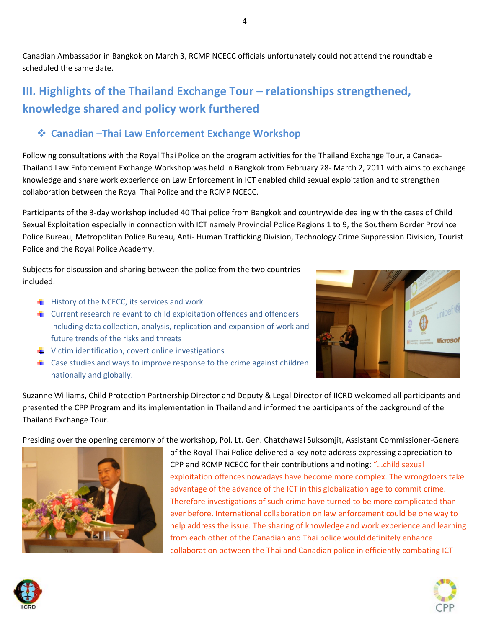Canadian Ambassador in Bangkok on March 3, RCMP NCECC officials unfortunately could not attend the roundtable scheduled the same date.

## **III. Highlights of the Thailand Exchange Tour – relationships strengthened, knowledge shared and policy work furthered**

### **Canadian –Thai Law Enforcement Exchange Workshop**

Following consultations with the Royal Thai Police on the program activities for the Thailand Exchange Tour, a Canada‐ Thailand Law Enforcement Exchange Workshop was held in Bangkok from February 28‐ March 2, 2011 with aims to exchange knowledge and share work experience on Law Enforcement in ICT enabled child sexual exploitation and to strengthen collaboration between the Royal Thai Police and the RCMP NCECC.

Participants of the 3‐day workshop included 40 Thai police from Bangkok and countrywide dealing with the cases of Child Sexual Exploitation especially in connection with ICT namely Provincial Police Regions 1 to 9, the Southern Border Province Police Bureau, Metropolitan Police Bureau, Anti‐ Human Trafficking Division, Technology Crime Suppression Division, Tourist Police and the Royal Police Academy.

Subjects for discussion and sharing between the police from the two countries included:

- $\frac{1}{\sqrt{2}}$  History of the NCECC, its services and work
- $\frac{1}{2}$  Current research relevant to child exploitation offences and offenders including data collection, analysis, replication and expansion of work and future trends of the risks and threats
- $\triangleq$  Victim identification, covert online investigations
- $\triangleq$  Case studies and ways to improve response to the crime against children nationally and globally.

**Microsof** 

Suzanne Williams, Child Protection Partnership Director and Deputy & Legal Director of IICRD welcomed all participants and presented the CPP Program and its implementation in Thailand and informed the participants of the background of the Thailand Exchange Tour.

Presiding over the opening ceremony of the workshop, Pol. Lt. Gen. Chatchawal Suksomjit, Assistant Commissioner‐General



of the Royal Thai Police delivered a key note address expressing appreciation to CPP and RCMP NCECC for their contributions and noting: "…child sexual exploitation offences nowadays have become more complex. The wrongdoers take advantage of the advance of the ICT in this globalization age to commit crime. Therefore investigations of such crime have turned to be more complicated than ever before. International collaboration on law enforcement could be one way to help address the issue. The sharing of knowledge and work experience and learning from each other of the Canadian and Thai police would definitely enhance collaboration between the Thai and Canadian police in efficiently combating ICT



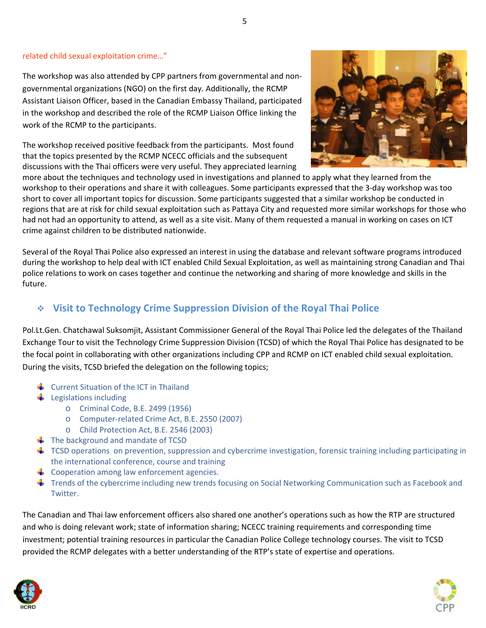#### related child sexual exploitation crime…"

The workshop was also attended by CPP partners from governmental and non‐ governmental organizations (NGO) on the first day. Additionally, the RCMP Assistant Liaison Officer, based in the Canadian Embassy Thailand, participated in the workshop and described the role of the RCMP Liaison Office linking the work of the RCMP to the participants.

The workshop received positive feedback from the participants. Most found that the topics presented by the RCMP NCECC officials and the subsequent discussions with the Thai officers were very useful. They appreciated learning



more about the techniques and technology used in investigations and planned to apply what they learned from the workshop to their operations and share it with colleagues. Some participants expressed that the 3‐day workshop was too short to cover all important topics for discussion. Some participants suggested that a similar workshop be conducted in regions that are at risk for child sexual exploitation such as Pattaya City and requested more similar workshops for those who had not had an opportunity to attend, as well as a site visit. Many of them requested a manual in working on cases on ICT crime against children to be distributed nationwide.

Several of the Royal Thai Police also expressed an interest in using the database and relevant software programs introduced during the workshop to help deal with ICT enabled Child Sexual Exploitation, as well as maintaining strong Canadian and Thai police relations to work on cases together and continue the networking and sharing of more knowledge and skills in the future.

### **Visit to Technology Crime Suppression Division of the Royal Thai Police**

Pol.Lt.Gen. Chatchawal Suksomjit, Assistant Commissioner General of the Royal Thai Police led the delegates of the Thailand Exchange Tour to visit the Technology Crime Suppression Division (TCSD) of which the Royal Thai Police has designated to be the focal point in collaborating with other organizations including CPP and RCMP on ICT enabled child sexual exploitation. During the visits, TCSD briefed the delegation on the following topics;

- $\frac{1}{\sqrt{2}}$  Current Situation of the ICT in Thailand
- $\bigcup$  Legislations including
	- o Criminal Code, B.E. 2499 (1956)
	- o Computer‐related Crime Act, B.E. 2550 (2007)
	- o Child Protection Act, B.E. 2546 (2003)
- $\frac{1}{2}$  The background and mandate of TCSD
- $\uparrow$  TCSD operations on prevention, suppression and cybercrime investigation, forensic training including participating in the international conference, course and training
- $\triangleq$  Cooperation among law enforcement agencies.
- **■** Trends of the cybercrime including new trends focusing on Social Networking Communication such as Facebook and Twitter.

The Canadian and Thai law enforcement officers also shared one another's operations such as how the RTP are structured and who is doing relevant work; state of information sharing; NCECC training requirements and corresponding time investment; potential training resources in particular the Canadian Police College technology courses. The visit to TCSD provided the RCMP delegates with a better understanding of the RTP's state of expertise and operations.



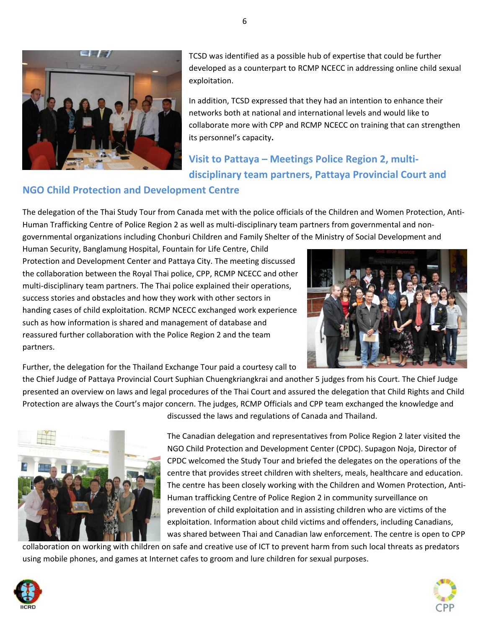

TCSD was identified as a possible hub of expertise that could be further developed as a counterpart to RCMP NCECC in addressing online child sexual exploitation.

In addition, TCSD expressed that they had an intention to enhance their networks both at national and international levels and would like to collaborate more with CPP and RCMP NCECC on training that can strengthen its personnel's capacity**.**

# **Visit to Pattaya – Meetings Police Region 2, multi‐ disciplinary team partners, Pattaya Provincial Court and**

### **NGO Child Protection and Development Centre**

The delegation of the Thai Study Tour from Canada met with the police officials of the Children and Women Protection, Anti‐ Human Trafficking Centre of Police Region 2 as well as multi‐disciplinary team partners from governmental and non‐ governmental organizations including Chonburi Children and Family Shelter of the Ministry of Social Development and

Human Security, Banglamung Hospital, Fountain for Life Centre, Child Protection and Development Center and Pattaya City. The meeting discussed the collaboration between the Royal Thai police, CPP, RCMP NCECC and other multi-disciplinary team partners. The Thai police explained their operations, success stories and obstacles and how they work with other sectors in handing cases of child exploitation. RCMP NCECC exchanged work experience such as how information is shared and management of database and reassured further collaboration with the Police Region 2 and the team partners.



Further, the delegation for the Thailand Exchange Tour paid a courtesy call to

the Chief Judge of Pattaya Provincial Court Suphian Chuengkriangkrai and another 5 judges from his Court. The Chief Judge presented an overview on laws and legal procedures of the Thai Court and assured the delegation that Child Rights and Child Protection are always the Court's major concern. The judges, RCMP Officials and CPP team exchanged the knowledge and



discussed the laws and regulations of Canada and Thailand.

The Canadian delegation and representatives from Police Region 2 later visited the NGO Child Protection and Development Center (CPDC). Supagon Noja, Director of CPDC welcomed the Study Tour and briefed the delegates on the operations of the centre that provides street children with shelters, meals, healthcare and education. The centre has been closely working with the Children and Women Protection, Anti‐ Human trafficking Centre of Police Region 2 in community surveillance on prevention of child exploitation and in assisting children who are victims of the exploitation. Information about child victims and offenders, including Canadians, was shared between Thai and Canadian law enforcement. The centre is open to CPP

collaboration on working with children on safe and creative use of ICT to prevent harm from such local threats as predators using mobile phones, and games at Internet cafes to groom and lure children for sexual purposes.



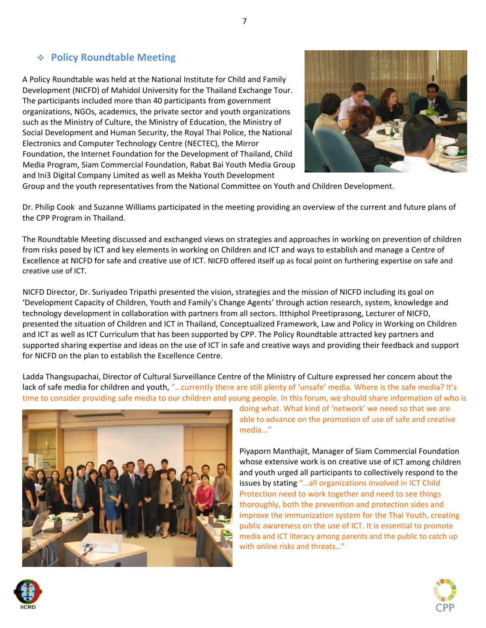#### **Policy Roundtable Meeting**

A Policy Roundtable was held at the National Institute for Child and Family Development (NICFD) of Mahidol University for the Thailand Exchange Tour. The participants included more than 40 participants from government organizations, NGOs, academics, the private sector and youth organizations such as the Ministry of Culture, the Ministry of Education, the Ministry of Social Development and Human Security, the Royal Thai Police, the National Electronics and Computer Technology Centre (NECTEC), the Mirror Foundation, the Internet Foundation for the Development of Thailand, Child Media Program, Siam Commercial Foundation, Rabat Bai Youth Media Group and Ini3 Digital Company Limited as well as Mekha Youth Development



Group and the youth representatives from the National Committee on Youth and Children Development.

Dr. Philip Cook and Suzanne Williams participated in the meeting providing an overview of the current and future plans of the CPP Program in Thailand.

The Roundtable Meeting discussed and exchanged views on strategies and approaches in working on prevention of children from risks posed by ICT and key elements in working on Children and ICT and ways to establish and manage a Centre of Excellence at NICFD for safe and creative use of ICT. NICFD offered itself up as focal point on furthering expertise on safe and creative use of ICT.

NICFD Director, Dr. Suriyadeo Tripathi presented the vision, strategies and the mission of NICFD including its goal on 'Development Capacity of Children, Youth and Family's Change Agents' through action research, system, knowledge and technology development in collaboration with partners from all sectors. Itthiphol Preetiprasong, Lecturer of NICFD, presented the situation of Children and ICT in Thailand, Conceptualized Framework, Law and Policy in Working on Children and ICT as well as ICT Curriculum that has been supported by CPP. The Policy Roundtable attracted key partners and supported sharing expertise and ideas on the use of ICT in safe and creative ways and providing their feedback and support for NICFD on the plan to establish the Excellence Centre.

Ladda Thangsupachai, Director of Cultural Surveillance Centre of the Ministry of Culture expressed her concern about the lack of safe media for children and youth, "...currently there are still plenty of 'unsafe' media. Where is the safe media? It's time to consider providing safe media to our children and young people. In this forum, we should share information of who is



doing what. What kind of 'network' we need so that we are able to advance on the promotion of use of safe and creative media..."

Piyaporn Manthajit, Manager of Siam Commercial Foundation whose extensive work is on creative use of ICT among children and youth urged all participants to collectively respond to the issues by stating "…all organizations involved in ICT Child Protection need to work together and need to see things thoroughly, both the prevention and protection sides and improve the immunization system for the Thai Youth, creating public awareness on the use of ICT. It is essential to promote media and ICT literacy among parents and the public to catch up with online risks and threats…"



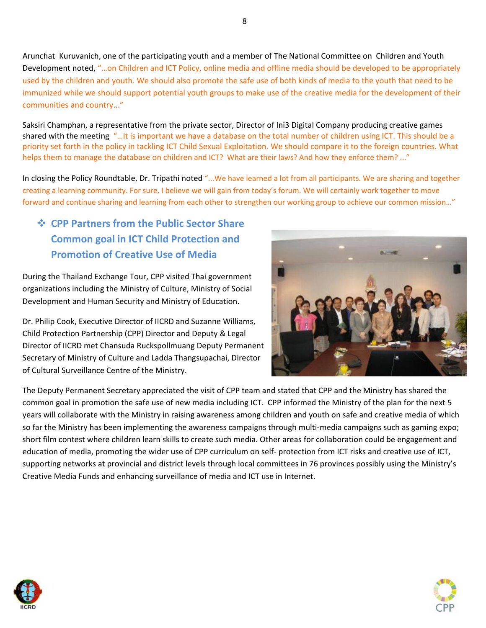Arunchat Kuruvanich, one of the participating youth and a member of The National Committee on Children and Youth Development noted, "…on Children and ICT Policy, online media and offline media should be developed to be appropriately used by the children and youth. We should also promote the safe use of both kinds of media to the youth that need to be immunized while we should support potential youth groups to make use of the creative media for the development of their communities and country..."

Saksiri Champhan, a representative from the private sector, Director of Ini3 Digital Company producing creative games shared with the meeting "…It is important we have a database on the total number of children using ICT. This should be a priority set forth in the policy in tackling ICT Child Sexual Exploitation. We should compare it to the foreign countries. What helps them to manage the database on children and ICT? What are their laws? And how they enforce them? ..."

In closing the Policy Roundtable, Dr. Tripathi noted "...We have learned a lot from all participants. We are sharing and together creating a learning community. For sure, I believe we will gain from today's forum. We will certainly work together to move forward and continue sharing and learning from each other to strengthen our working group to achieve our common mission…"

## **CPP Partners from the Public Sector Share Common goal in ICT Child Protection and Promotion of Creative Use of Media**

During the Thailand Exchange Tour, CPP visited Thai government organizations including the Ministry of Culture, Ministry of Social Development and Human Security and Ministry of Education.

Dr. Philip Cook, Executive Director of IICRD and Suzanne Williams, Child Protection Partnership (CPP) Director and Deputy & Legal Director of IICRD met Chansuda Ruckspollmuang Deputy Permanent Secretary of Ministry of Culture and Ladda Thangsupachai, Director of Cultural Surveillance Centre of the Ministry.



The Deputy Permanent Secretary appreciated the visit of CPP team and stated that CPP and the Ministry has shared the common goal in promotion the safe use of new media including ICT. CPP informed the Ministry of the plan for the next 5 years will collaborate with the Ministry in raising awareness among children and youth on safe and creative media of which so far the Ministry has been implementing the awareness campaigns through multi-media campaigns such as gaming expo; short film contest where children learn skills to create such media. Other areas for collaboration could be engagement and education of media, promoting the wider use of CPP curriculum on self‐ protection from ICT risks and creative use of ICT, supporting networks at provincial and district levels through local committees in 76 provinces possibly using the Ministry's Creative Media Funds and enhancing surveillance of media and ICT use in Internet.



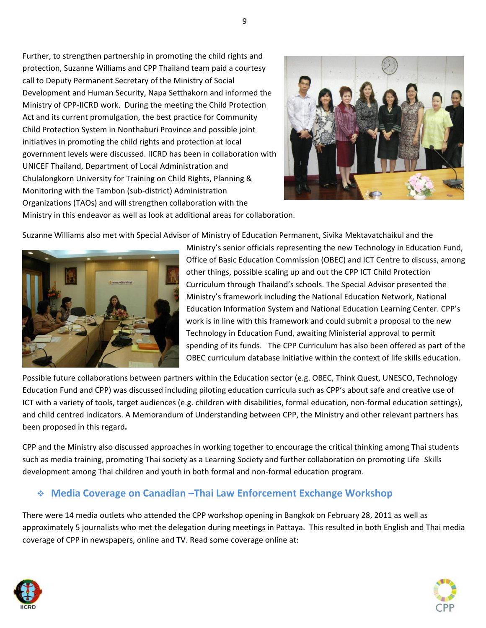Further, to strengthen partnership in promoting the child rights and protection, Suzanne Williams and CPP Thailand team paid a courtesy call to Deputy Permanent Secretary of the Ministry of Social Development and Human Security, Napa Setthakorn and informed the Ministry of CPP‐IICRD work. During the meeting the Child Protection Act and its current promulgation, the best practice for Community Child Protection System in Nonthaburi Province and possible joint initiatives in promoting the child rights and protection at local government levels were discussed. IICRD has been in collaboration with UNICEF Thailand, Department of Local Administration and Chulalongkorn University for Training on Child Rights, Planning & Monitoring with the Tambon (sub‐district) Administration Organizations (TAOs) and will strengthen collaboration with the



Ministry in this endeavor as well as look at additional areas for collaboration.

Suzanne Williams also met with Special Advisor of Ministry of Education Permanent, Sivika Mektavatchaikul and the



Ministry's senior officials representing the new Technology in Education Fund, Office of Basic Education Commission (OBEC) and ICT Centre to discuss, among other things, possible scaling up and out the CPP ICT Child Protection Curriculum through Thailand's schools. The Special Advisor presented the Ministry's framework including the National Education Network, National Education Information System and National Education Learning Center. CPP's work is in line with this framework and could submit a proposal to the new Technology in Education Fund, awaiting Ministerial approval to permit spending of its funds. The CPP Curriculum has also been offered as part of the OBEC curriculum database initiative within the context of life skills education.

Possible future collaborations between partners within the Education sector (e.g. OBEC, Think Quest, UNESCO, Technology Education Fund and CPP) was discussed including piloting education curricula such as CPP's about safe and creative use of ICT with a variety of tools, target audiences (e.g. children with disabilities, formal education, non‐formal education settings), and child centred indicators. A Memorandum of Understanding between CPP, the Ministry and other relevant partners has been proposed in this regard**.**

CPP and the Ministry also discussed approaches in working together to encourage the critical thinking among Thai students such as media training, promoting Thai society as a Learning Society and further collaboration on promoting Life Skills development among Thai children and youth in both formal and non‐formal education program.

### **Media Coverage on Canadian –Thai Law Enforcement Exchange Workshop**

There were 14 media outlets who attended the CPP workshop opening in Bangkok on February 28, 2011 as well as approximately 5 journalists who met the delegation during meetings in Pattaya. This resulted in both English and Thai media coverage of CPP in newspapers, online and TV. Read some coverage online at:



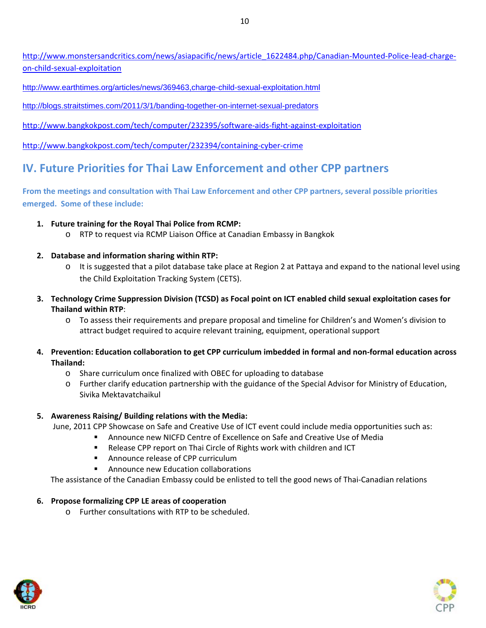http://www.monstersandcritics.com/news/asiapacific/news/article\_1622484.php/Canadian‐Mounted‐Police‐lead‐charge‐ on‐child‐sexual‐exploitation

http://www.earthtimes.org/articles/news/369463,charge-child-sexual-exploitation.html

http://blogs.straitstimes.com/2011/3/1/banding-together-on-internet-sexual-predators

http://www.bangkokpost.com/tech/computer/232395/software‐aids‐fight‐against‐exploitation

http://www.bangkokpost.com/tech/computer/232394/containing‐cyber‐crime

## **IV. Future Priorities for Thai Law Enforcement and other CPP partners**

**From the meetings and consultation with Thai Law Enforcement and other CPP partners, several possible priorities emerged. Some of these include:** 

- **1. Future training for the Royal Thai Police from RCMP:**
	- o RTP to request via RCMP Liaison Office at Canadian Embassy in Bangkok
- **2. Database and information sharing within RTP:**
	- o It is suggested that a pilot database take place at Region 2 at Pattaya and expand to the national level using the Child Exploitation Tracking System (CETS).
- 3. Technology Crime Suppression Division (TCSD) as Focal point on ICT enabled child sexual exploitation cases for **Thailand within RTP**:
	- o To assess their requirements and prepare proposal and timeline for Children's and Women's division to attract budget required to acquire relevant training, equipment, operational support
- 4. Prevention: Education collaboration to get CPP curriculum imbedded in formal and non-formal education across **Thailand:**
	- o Share curriculum once finalized with OBEC for uploading to database
	- o Further clarify education partnership with the guidance of the Special Advisor for Ministry of Education, Sivika Mektavatchaikul

#### **5. Awareness Raising/ Building relations with the Media:**

June, 2011 CPP Showcase on Safe and Creative Use of ICT event could include media opportunities such as:

- Announce new NICFD Centre of Excellence on Safe and Creative Use of Media
- Release CPP report on Thai Circle of Rights work with children and ICT
- Announce release of CPP curriculum
- Announce new Education collaborations

The assistance of the Canadian Embassy could be enlisted to tell the good news of Thai‐Canadian relations

#### **6. Propose formalizing CPP LE areas of cooperation**

o Further consultations with RTP to be scheduled.